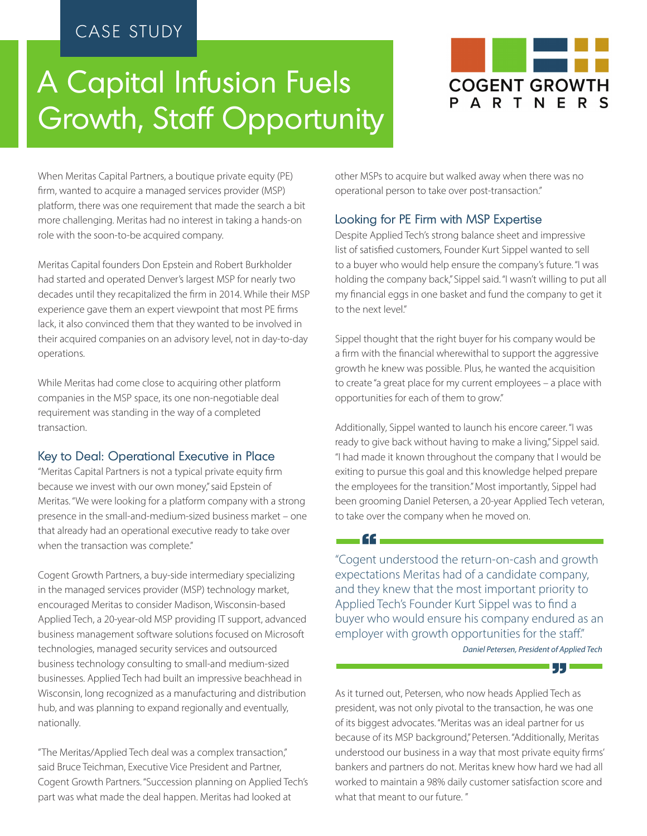# CASE STUDY

# A Capital Infusion Fuels Growth, Staff Opportunity



When Meritas Capital Partners, a boutique private equity (PE) firm, wanted to acquire a managed services provider (MSP) platform, there was one requirement that made the search a bit more challenging. Meritas had no interest in taking a hands-on role with the soon-to-be acquired company.

Meritas Capital founders Don Epstein and Robert Burkholder had started and operated Denver's largest MSP for nearly two decades until they recapitalized the firm in 2014. While their MSP experience gave them an expert viewpoint that most PE firms lack, it also convinced them that they wanted to be involved in their acquired companies on an advisory level, not in day-to-day operations.

While Meritas had come close to acquiring other platform companies in the MSP space, its one non-negotiable deal requirement was standing in the way of a completed transaction.

#### Key to Deal: Operational Executive in Place

"Meritas Capital Partners is not a typical private equity firm because we invest with our own money," said Epstein of Meritas. "We were looking for a platform company with a strong presence in the small-and-medium-sized business market – one that already had an operational executive ready to take over when the transaction was complete."

Cogent Growth Partners, a buy-side intermediary specializing in the managed services provider (MSP) technology market, encouraged Meritas to consider Madison, Wisconsin-based Applied Tech, a 20-year-old MSP providing IT support, advanced business management software solutions focused on Microsoft technologies, managed security services and outsourced business technology consulting to small-and medium-sized businesses. Applied Tech had built an impressive beachhead in Wisconsin, long recognized as a manufacturing and distribution hub, and was planning to expand regionally and eventually, nationally.

"The Meritas/Applied Tech deal was a complex transaction," said Bruce Teichman, Executive Vice President and Partner, Cogent Growth Partners. "Succession planning on Applied Tech's part was what made the deal happen. Meritas had looked at

other MSPs to acquire but walked away when there was no operational person to take over post-transaction."

## Looking for PE Firm with MSP Expertise

Despite Applied Tech's strong balance sheet and impressive list of satisfied customers, Founder Kurt Sippel wanted to sell to a buyer who would help ensure the company's future. "I was holding the company back," Sippel said. "I wasn't willing to put all my financial eggs in one basket and fund the company to get it to the next level."

Sippel thought that the right buyer for his company would be a firm with the financial wherewithal to support the aggressive growth he knew was possible. Plus, he wanted the acquisition to create "a great place for my current employees – a place with opportunities for each of them to grow."

Additionally, Sippel wanted to launch his encore career. "I was ready to give back without having to make a living," Sippel said. "I had made it known throughout the company that I would be exiting to pursue this goal and this knowledge helped prepare the employees for the transition." Most importantly, Sippel had been grooming Daniel Petersen, a 20-year Applied Tech veteran, to take over the company when he moved on.

"Cogent understood the return-on-cash and growth expectations Meritas had of a candidate company, and they knew that the most important priority to Applied Tech's Founder Kurt Sippel was to find a buyer who would ensure his company endured as an employer with growth opportunities for the staff."

"

*Daniel Petersen, President of Applied Tech* 

" As it turned out, Petersen, who now heads Applied Tech as president, was not only pivotal to the transaction, he was one of its biggest advocates. "Meritas was an ideal partner for us because of its MSP background," Petersen. "Additionally, Meritas understood our business in a way that most private equity firms' bankers and partners do not. Meritas knew how hard we had all worked to maintain a 98% daily customer satisfaction score and what that meant to our future. "